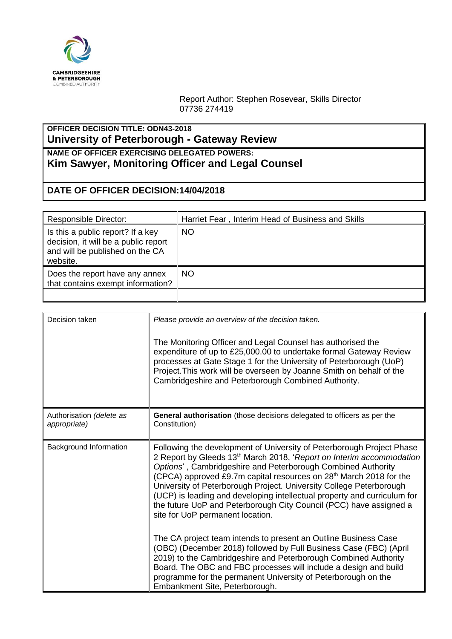

Report Author: Stephen Rosevear, Skills Director 07736 274419

## **OFFICER DECISION TITLE: ODN43-2018 University of Peterborough - Gateway Review**

**NAME OF OFFICER EXERCISING DELEGATED POWERS: Kim Sawyer, Monitoring Officer and Legal Counsel**

## **DATE OF OFFICER DECISION:14/04/2018**

| <b>Responsible Director:</b>                                                                                             | Harriet Fear, Interim Head of Business and Skills |
|--------------------------------------------------------------------------------------------------------------------------|---------------------------------------------------|
| Is this a public report? If a key<br>decision, it will be a public report<br>and will be published on the CA<br>website. | <b>NO</b>                                         |
| Does the report have any annex<br>that contains exempt information?                                                      | <b>NO</b>                                         |
|                                                                                                                          |                                                   |

| Decision taken                           | Please provide an overview of the decision taken.<br>The Monitoring Officer and Legal Counsel has authorised the<br>expenditure of up to £25,000.00 to undertake formal Gateway Review<br>processes at Gate Stage 1 for the University of Peterborough (UoP)<br>Project. This work will be overseen by Joanne Smith on behalf of the<br>Cambridgeshire and Peterborough Combined Authority.                                                                                                                                                                              |
|------------------------------------------|--------------------------------------------------------------------------------------------------------------------------------------------------------------------------------------------------------------------------------------------------------------------------------------------------------------------------------------------------------------------------------------------------------------------------------------------------------------------------------------------------------------------------------------------------------------------------|
| Authorisation (delete as<br>appropriate) | General authorisation (those decisions delegated to officers as per the<br>Constitution)                                                                                                                                                                                                                                                                                                                                                                                                                                                                                 |
| Background Information                   | Following the development of University of Peterborough Project Phase<br>2 Report by Gleeds 13 <sup>th</sup> March 2018, 'Report on Interim accommodation<br>Options', Cambridgeshire and Peterborough Combined Authority<br>(CPCA) approved £9.7m capital resources on 28 <sup>th</sup> March 2018 for the<br>University of Peterborough Project. University College Peterborough<br>(UCP) is leading and developing intellectual property and curriculum for<br>the future UoP and Peterborough City Council (PCC) have assigned a<br>site for UoP permanent location. |
|                                          | The CA project team intends to present an Outline Business Case<br>(OBC) (December 2018) followed by Full Business Case (FBC) (April<br>2019) to the Cambridgeshire and Peterborough Combined Authority<br>Board. The OBC and FBC processes will include a design and build<br>programme for the permanent University of Peterborough on the<br>Embankment Site, Peterborough.                                                                                                                                                                                           |